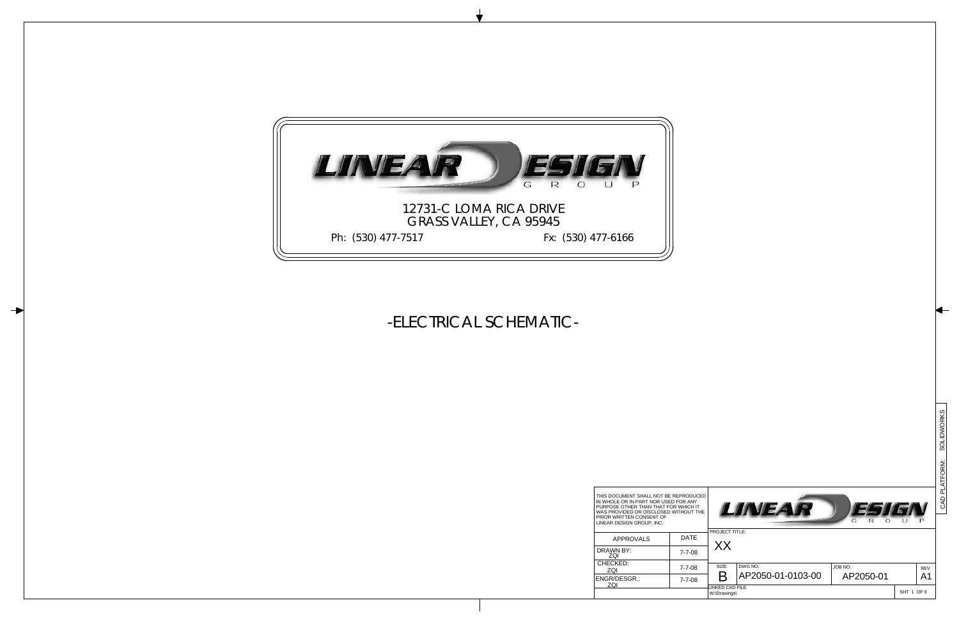PRIOR WRITTEN CONSENT OF LINEAR DESIGN GROUP, INC. THIS DOCUMENT SHALL NOT BE REPRODUCED<br>IN WHOLE OR IN PART NOR USED FOR ANY<br>PURPOSE OTHER THAN THAT FOR WHICH IT<br>WAS PROVIDED OR DISCLOSED WITHOUT THE

| <b>APPROVALS</b>    | DATF         |
|---------------------|--------------|
| DRAWN BY:<br>70I    | $7 - 7 - 08$ |
| CHECKED:<br>ZQI     | $7 - 7 - 08$ |
| ENGR/DESGR.:<br>70I | $7 - 7 - 08$ |
|                     |              |

|        |                              |                                                      |                            |                       | CAD PLATFORM: SOLIDWORKS |
|--------|------------------------------|------------------------------------------------------|----------------------------|-----------------------|--------------------------|
|        |                              |                                                      |                            |                       |                          |
| D<br>E |                              | LINEA<br>$\mathsf{R}$<br>G                           | $\sqrt{6}$<br>$\circ$<br>U | $\mathsf{P}$          |                          |
|        | PROJECT TITLE:<br>XX         |                                                      |                            |                       |                          |
|        | SIZE<br>Β<br>LINKED CAD FILE | DWG NO:<br>JOB NO:<br>AP2050-01-0103-00<br>AP2050-01 |                            | REV<br>A <sub>1</sub> |                          |
|        | W:\Drawings\                 |                                                      | SHT 1 OF 9                 |                       |                          |

## -ELECTRICAL SCHEMATIC-

╊

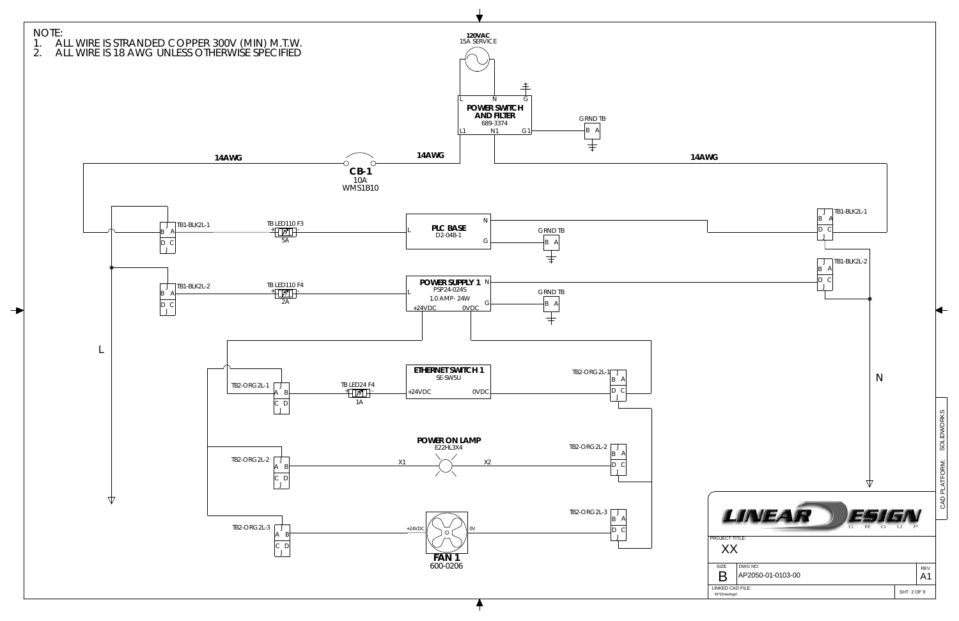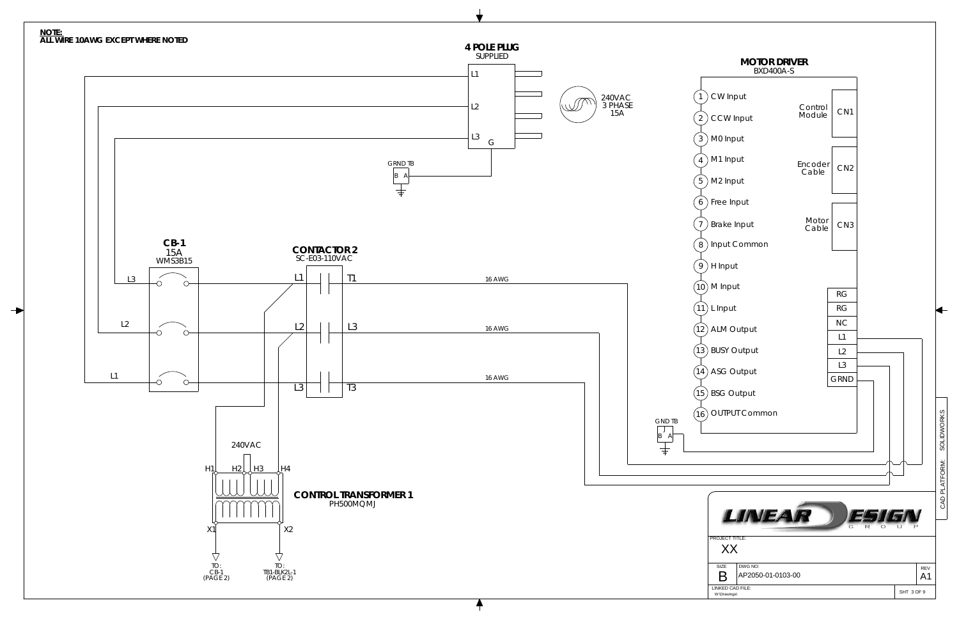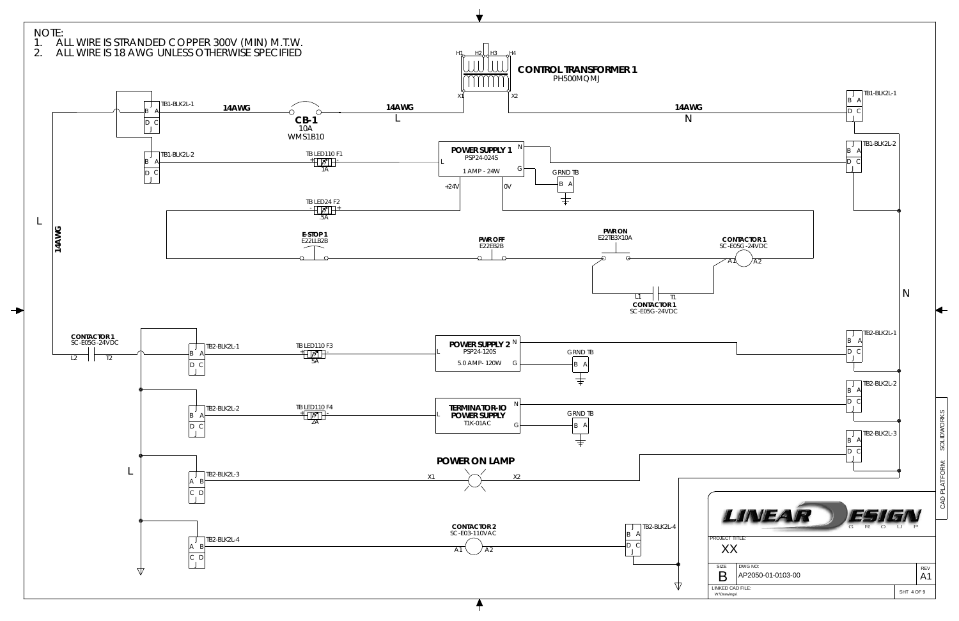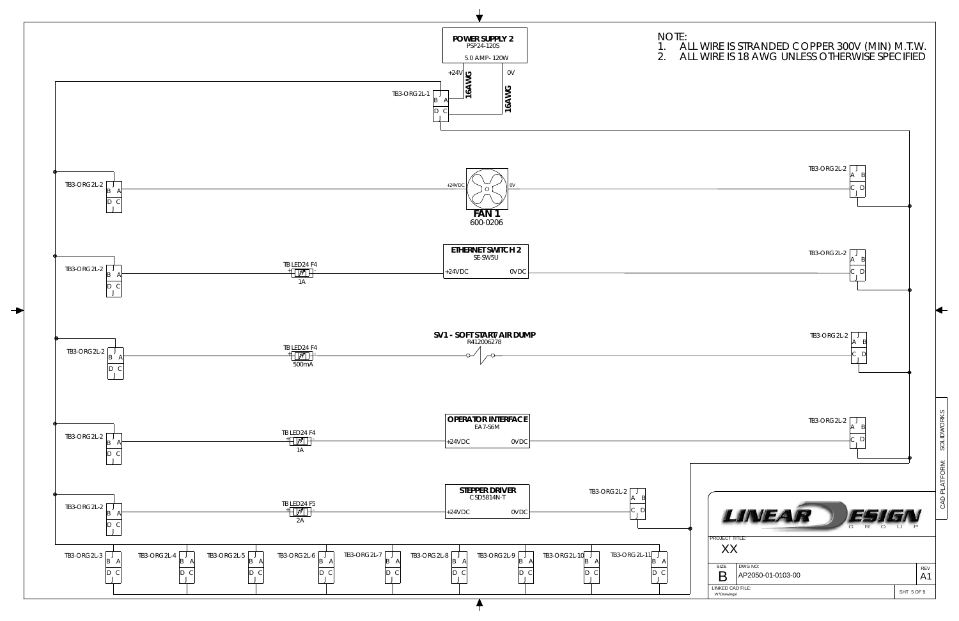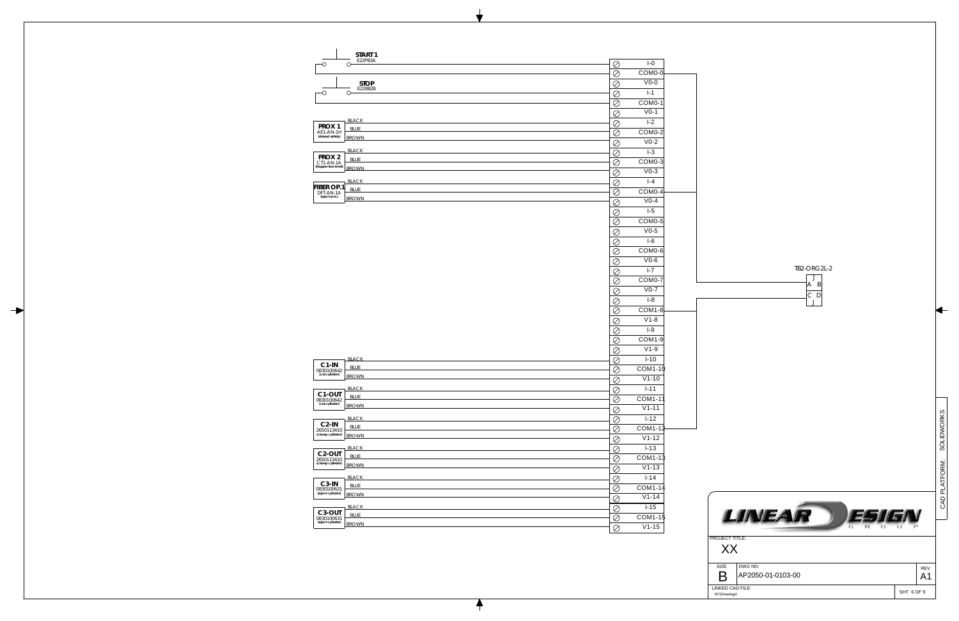

|                                 | START 1                     |                      |                               |  |
|---------------------------------|-----------------------------|----------------------|-------------------------------|--|
| -0                              | E22PB3A<br>$\circ$          | $\oslash$            | $I - 0$                       |  |
|                                 |                             | $\oslash$            | COM0-0                        |  |
|                                 | <b>STOP</b>                 | Ø                    | $V0-0$                        |  |
| -0                              | E22EB2B<br>$\circ$          | $\oslash$            | $I-1$                         |  |
|                                 |                             | Ø                    | COM <sub>0</sub> -1           |  |
|                                 |                             | Ø                    | $V0-1$                        |  |
|                                 | <b>BLACK</b>                | $\oslash$            | $I-2$                         |  |
| PROX 1<br>AE1-AN-1H             | <b>BLUE</b>                 | $\oslash$            | COM0-2                        |  |
| (shroud safety)                 | <b>BROWN</b>                | $\oslash$            | $V0-2$                        |  |
|                                 | <b>BLACK</b>                |                      | $I-3$                         |  |
| PROX <sub>2</sub>               | <b>BLUE</b>                 | $\oslash$            |                               |  |
| CT1-AN-1A<br>(hopper low level) | <b>BROWN</b>                | $\oslash$            | COM <sub>0</sub> -3<br>$V0-3$ |  |
|                                 |                             | $\oslash$            |                               |  |
| <b>FIBER OP.1</b>               | <b>BLACK</b><br><b>BLUE</b> | $\oslash$            | $I - 4$                       |  |
| DFT-AN-1A<br>(eject ack.)       | <b>BROWN</b>                | $\oslash$            | COM0-4                        |  |
|                                 |                             | Ø                    | $V0-4$                        |  |
|                                 |                             | $\oslash$            | $1-5$                         |  |
|                                 |                             | $\oslash$            | COM0-5                        |  |
|                                 |                             | Ø                    | $V0-5$                        |  |
|                                 |                             | $\oslash$            | $I-6$                         |  |
|                                 |                             | $\oslash$            | COM0-6                        |  |
|                                 |                             | $\oslash$            | $V0-6$                        |  |
|                                 |                             | Ø                    | $I - 7$                       |  |
|                                 |                             | $\oslash$            | COM0-7                        |  |
|                                 |                             | $\oslash$            | $V0-7$                        |  |
|                                 |                             | Ø                    | $I-8$                         |  |
|                                 |                             | $\oslash$            | COM <sub>1-8</sub>            |  |
|                                 |                             | Ø                    | $V1-8$                        |  |
|                                 |                             | Ø                    | $I-9$                         |  |
|                                 |                             | $\oslash$            | COM1-9                        |  |
|                                 |                             | $\oslash$            | $V1-9$                        |  |
|                                 | <b>BLACK</b>                | Ø                    | $I-10$                        |  |
| C1-IN<br>0830100642             | <b>BLUE</b>                 | $\oslash$            | COM1-10                       |  |
| (cut cylinder)                  | <b>BROWN</b>                | $\oslash$            | $V1 - 10$                     |  |
|                                 | <b>BLACK</b>                | $\oslash$            | $1 - 11$                      |  |
| C <sub>1</sub> -OUT             | <b>BLUE</b>                 | $\overline{\oslash}$ | COM1-11                       |  |
| 0830100642<br>(cut cylinder)    | <b>BROWN</b>                |                      | $V1-11$                       |  |
|                                 | <b>BLACK</b>                | $\oslash$            | $I-12$                        |  |
| $C2-IN$                         | <b>BLUE</b>                 | Ø                    |                               |  |
| 2650113410<br>(clamp cylinder)  | <b>BROWN</b>                | $\oslash$            | COM1-12<br>$V1 - 12$          |  |
|                                 |                             | $\oslash$            |                               |  |
| C <sub>2</sub> -OUT             | <b>BLACK</b><br><b>BLUE</b> | $\oslash$            | $I - 13$                      |  |
| 2650113410<br>(clamp cylinder)  | <b>BROWN</b>                | $\oslash$            | COM1-13                       |  |
|                                 |                             | $\oslash$            | $V1-13$                       |  |
| C <sub>3</sub> -IN              | <b>BLACK</b>                | $\oslash$            | $1 - 14$                      |  |
| 0830100631<br>(eject cylinder)  | <b>BLUE</b><br><b>BROWN</b> | $\oslash$            | COM1-14                       |  |
|                                 |                             | $\oslash$            | $V1-14$                       |  |
| C <sub>3</sub> -OUT             | <b>BLACK</b>                | Ø                    | $I-15$                        |  |
| 0830100631<br>(eject cylinder)  | <b>BLUE</b>                 | $\oslash$            | COM1-15                       |  |
|                                 | <b>BROWN</b>                | $\oslash$            | $V1-15$                       |  |

 $\ddagger$ 

 $\rightarrow$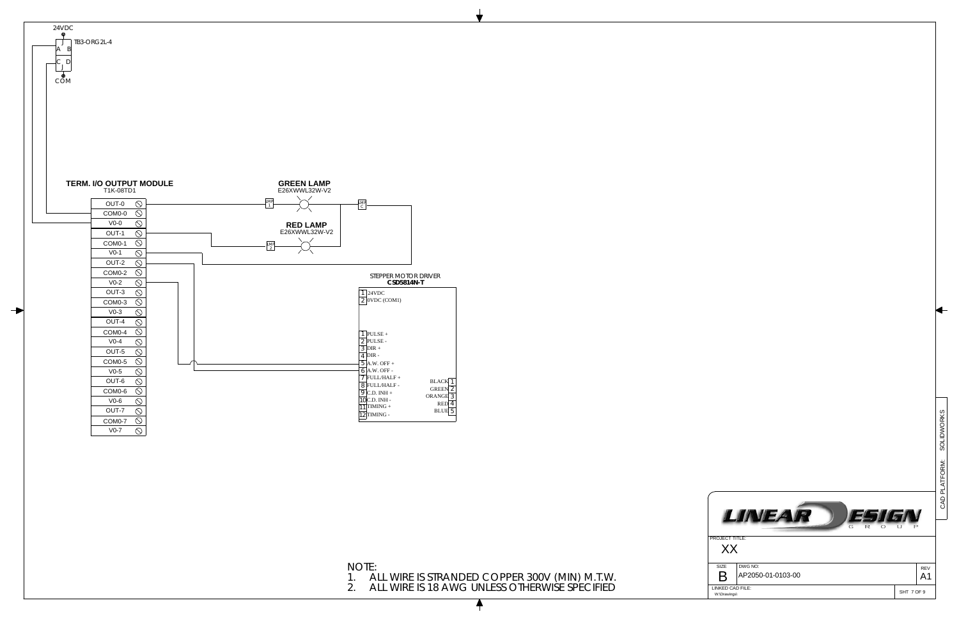

NOTE: 1. ALL WIRE IS STRANDED COPPER 300V (MIN) M.T.W.

2. ALL WIRE IS 18 AWG UNLESS OTHERWISE SPECIFIED

|                                                               |                              | <b>SOLIDWORKS</b> |
|---------------------------------------------------------------|------------------------------|-------------------|
|                                                               |                              |                   |
|                                                               |                              | CAD PLATFORM:     |
| LINEAR<br>51G<br>G<br>R<br>O                                  |                              |                   |
| <b>PROJECT TITLE:</b><br>XX                                   |                              |                   |
| DWG NO:<br>SIZE<br>AP2050-01-0103-00<br>R<br>LINKED CAD FILE: | <b>REV</b><br>A <sub>1</sub> |                   |
| W:\Drawings\                                                  | SHT 7 OF 9                   |                   |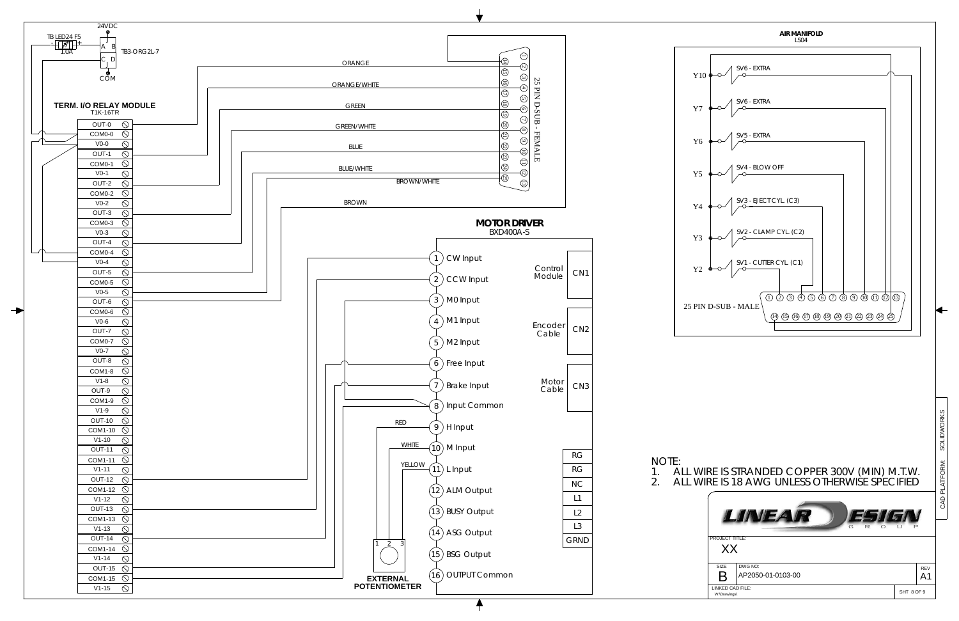